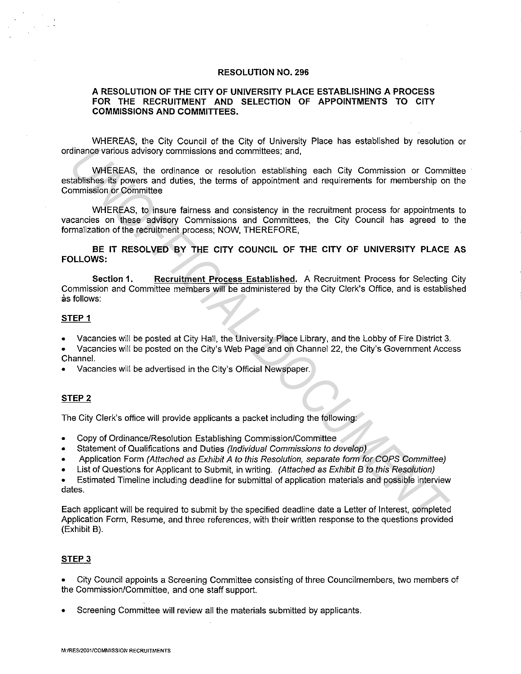#### **RESOLUTION NO. 296**

## **A RESOLUTION OF THE CITY OF UNIVERSITY PLACE ESTABLISHING A PROCESS FOR THE RECRUITMENT AND SELECTION OF APPOINTMENTS TO CITY COMMISSIONS AND COMMITTEES.**

WHEREAS, the City Council of the City of University Place has established by resolution or ordinance various advisory commissions and committees; and,

WHEREAS, the ordinance or resolution establishing each City Commission or Committee establishes its powers and duties, the terms of appointment and requirements for membership on the Commission or Committee

WHEREAS, to insure fairness and consistency in the recruitment process for appointments to vacancies on these advisory Commissions and Committees, the City Council has agreed to the formalization of the recruitment process; NOW, THEREFORE, dinance various advisory commissions and committees; and,<br>
WHEREAS, the ordinance or resolution establishing each City Commission or Commission<br>
xtablishes its powers and dubite, the terms of appointment and requirements f

**BE IT RESOLVED BY THE CITY COUNCIL OF THE CITY OF UNIVERSITY PLACE AS FOLLOWS:** 

**Section 1. Recruitment Process Established.** A Recruitment Process for Selecting City Commission and Committee members will be administered by the City Clerk's Office; and is established ·as follows:

### **STEP 1**

- Vacancies will be posted at City Hall, the University Place Library, and the Lobby of Fire District 3.
- Vacancies will be posted on the City's Web Page and on Channel 22, the City's Government Access Channel.
- Vacancies will be advertised in the City's Official Newspaper.

#### **STEP 2**

The City Clerk's office will provide applicants a packet including the following:

- Copy of Ordinance/Resolution Establishing Commission/Committee
- Statement of Qualifications and Duties (Individual Commissions to develop}
- Application Form (Attached as Exhibit A to this Resolution, separate form for COPS Committee)
- List of Questions for Applicant to Submit, in writing. (Attached as Exhibit B to this Resolution)

• Estimated Timeline including deadline for submittal of application materials and possible interview dates.

Each applicant will be required to submit by the specified deadline date a Letter of Interest, completed Application Form, Resume, and three references, with their written response to the questions provided (Exhibit B).

## **STEP3**

• City Council appoints a Screening Committee consisting of three Councilmembers, two members of the Commission/Committee, and one staff support.

• Screening Committee will review all the materials submitted by applicants.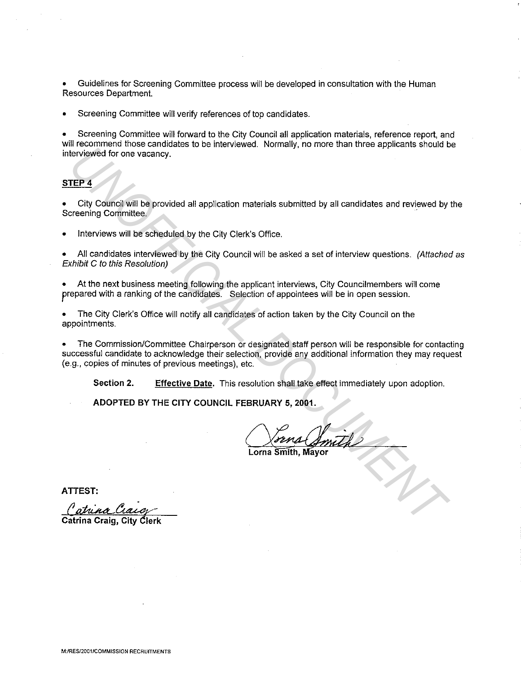• Guidelines for Screening Committee process will be developed in consultation with the Human Resources Department.

Screening Committee will verify references of top candidates.

• Screening Committee will forward to the City Council all application materials, reference report, and will recommend those candidates to be interviewed. Normally, no more than three applicants should be interviewed for one vacancy.

## **STEP4**

• City Council will be provided all application materials submitted by all candidates and reviewed by the Screening Committee.

Interviews will be scheduled by the City Clerk's Office.

• All candidates interviewed by the City Council will be asked a set of interview questions. (Attached as Exhibit C to this Resolution)

• At the next business meeting following the applicant interviews, City Councilmembers will come prepared with a ranking of the candidates. Selection of appointees will be in open session.

• The City Clerk's Office will notify all candidates of action taken by the City Council on the appointments.

• The Commission/Committee Chairperson or designated staff person will be responsible for contacting successful candidate to acknowledge their selection, provide any additional information they may request (e.g., copies of minutes of previous meetings), etc. International of the control of the Control of the City Central Documentation of the City Council will be provided all application materials submitted by all candidates and reviewed by creating Committee.<br>
Interviews will

**Section 2. Effective Date.** This resolution shall take effect immediately upon adoption.

**ADOPTED BY THE CITY COUNCIL FEBRUARY 5, 2001.** 

**ATTEST:**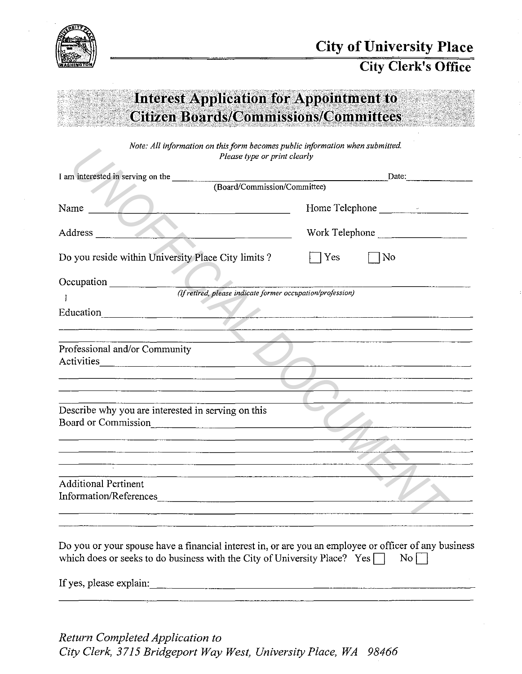

# **Interest Application for Appointment to Citizen Boards/Commissions/Committees**

*Note: All information on this form becomes public information when submitted Please type or print clearly* 

| I am interested in serving on the (Board/Commission/Committee)                                                                                                                            | Date: and the same state of the state of the state of the state of the state of the state of the state of the state of the state of the state of the state of the state of the state of the state of the state of the state of |
|-------------------------------------------------------------------------------------------------------------------------------------------------------------------------------------------|--------------------------------------------------------------------------------------------------------------------------------------------------------------------------------------------------------------------------------|
| Name                                                                                                                                                                                      | Home Telephone                                                                                                                                                                                                                 |
| Address                                                                                                                                                                                   | Work Telephone                                                                                                                                                                                                                 |
| Do you reside within University Place City limits?                                                                                                                                        | $\vert$ Yes<br>No                                                                                                                                                                                                              |
| Occupation                                                                                                                                                                                |                                                                                                                                                                                                                                |
| (If retired, please indicate former occupation/profession)                                                                                                                                |                                                                                                                                                                                                                                |
| Education                                                                                                                                                                                 |                                                                                                                                                                                                                                |
|                                                                                                                                                                                           | and the company of the company of the company of the company of the company of the company of the company of the                                                                                                               |
| Professional and/or Community<br>Activities                                                                                                                                               |                                                                                                                                                                                                                                |
|                                                                                                                                                                                           |                                                                                                                                                                                                                                |
| Describe why you are interested in serving on this                                                                                                                                        |                                                                                                                                                                                                                                |
|                                                                                                                                                                                           |                                                                                                                                                                                                                                |
|                                                                                                                                                                                           |                                                                                                                                                                                                                                |
| <b>Additional Pertinent</b>                                                                                                                                                               |                                                                                                                                                                                                                                |
|                                                                                                                                                                                           |                                                                                                                                                                                                                                |
| Do you or your spouse have a financial interest in, or are you an employee or officer of any business<br>which does or seeks to do business with the City of University Place? Yes $\Box$ | $\overline{N_0}$                                                                                                                                                                                                               |
| If yes, please explain:                                                                                                                                                                   |                                                                                                                                                                                                                                |
|                                                                                                                                                                                           |                                                                                                                                                                                                                                |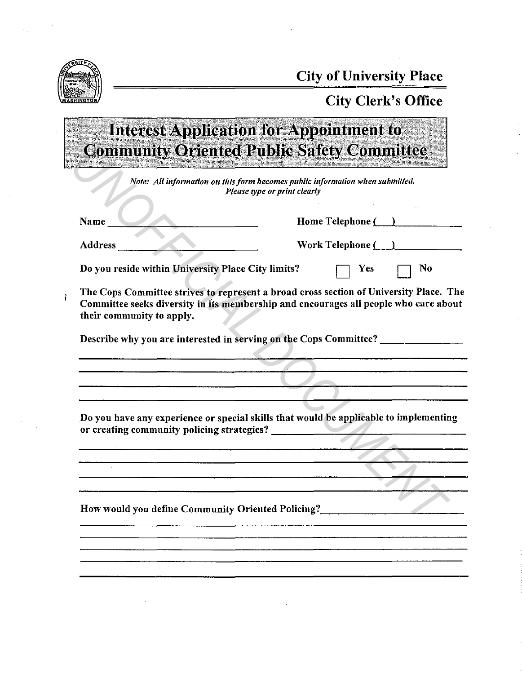

Ì

**City of University Place** 

# **City Clerk's Office**

# **Interest Application for Appointment to**

| Community Oriented Public Salety Commutee                                                                                                                                                                   |                         |  |
|-------------------------------------------------------------------------------------------------------------------------------------------------------------------------------------------------------------|-------------------------|--|
| Note: All information on this form becomes public information when submitted.<br>Please type or print clearly                                                                                               |                         |  |
| Name                                                                                                                                                                                                        | Home Telephone ()       |  |
| <b>Address</b>                                                                                                                                                                                              | Work Telephone $($ $)$  |  |
| Do you reside within University Place City limits?                                                                                                                                                          | $\Box$ Yes<br><b>No</b> |  |
| The Cops Committee strives to represent a broad cross section of University Place. The<br>Committee seeks diversity in its membership and encourages all people who care about<br>their community to apply. |                         |  |
| Describe why you are interested in serving on the Cops Committee? ______________<br><u> 1980 - Jacques Maria de La Carlo de La Carlo de La Carlo de La Carlo de La Carlo de La Carlo de La Carlo de L</u>   |                         |  |
|                                                                                                                                                                                                             |                         |  |
|                                                                                                                                                                                                             |                         |  |
| Do you have any experience or special skills that would be applicable to implementing                                                                                                                       |                         |  |
| .<br>Martin Samuel Service School School School School School School School School School School School School School                                                                                       |                         |  |
|                                                                                                                                                                                                             |                         |  |
|                                                                                                                                                                                                             |                         |  |
|                                                                                                                                                                                                             |                         |  |
| How would you define Community Oriented Policing?                                                                                                                                                           |                         |  |
|                                                                                                                                                                                                             |                         |  |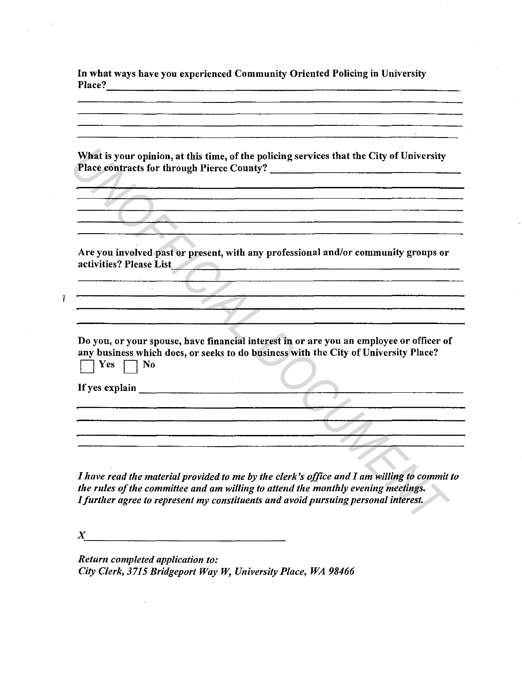In what ways have you experienced Community Oriented Policing in University  $Place?$   $\qquad \qquad$ 

<u>. Kan bertakan pada tahun 1989, dan bertama dalam kecamatan dalam kecamatan dalam kecamatan dalam kecamatan d</u> **Contract Contract That is your opinion, at this time, of the policing services that the City of University<br>
Place contracts for through Pierce County?<br>
<br>** *UP Are you involved past or present, with any professional and/or community groups o* What is your opinion, at this time, of the policing services that the City of University Place contracts for through Pierce County?----------------- Are you involved past or present, with any professional and/or community groups or activities? Please List ·~------------------------~ Do you, or your spouse, have financial interest in or are you an employee or officer of any business which does, or seeks to do business with the City of University Place?  $\Box$  Yes  $\Box$  No

*I have read the material provided to me by the clerk's office and I am willing to commit to the rules of the committee and am willing to attend the monthly evening meetings. I further agree to represent my constituents and avoid pursuing personal interest.* 

 $X$  and  $X$  and  $X$  and  $X$  and  $X$  and  $X$  and  $X$  and  $X$  and  $X$  and  $X$  and  $X$  and  $X$  and  $X$  and  $X$  and  $X$  and  $X$  and  $X$  and  $X$  and  $X$  and  $X$  and  $X$  and  $X$  and  $X$  and  $X$  and  $X$  and  $X$  and  $X$  and  $X$  a

Î

*Return completed application to: City Clerk, 3715 Bridgeport Way W, University Place, WA 98466*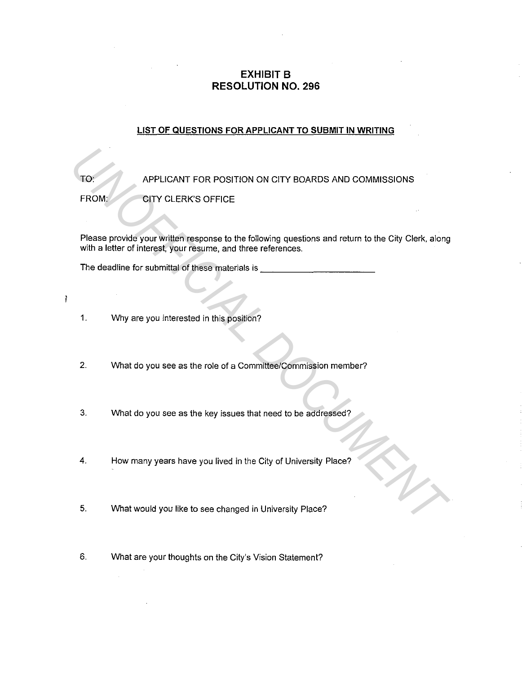## **EXHIBIT B RESOLUTION NO. 296**

## **LIST OF QUESTIONS FOR APPLICANT TO SUBMIT IN WRITING**

APPLICANT FOR POSITION ON CITY BOARDS AND COMMISSIONS

FROM: CITY CLERK'S OFFICE

TO:

 $\ddot{ }$ 

Please provide your written response to the following questions and return to the City Clerk, along with a letter of interest, your resume, and three references. **TO:**<br> **EROM**<br> **EROM**<br> **EROM**<br> **EROM**<br> **EROM**<br> **EROM**<br> **EROM**<br> **EROM**<br> **EROM**<br> **EROM**<br> **EROM**<br> **EROM**<br> **EROM**<br> **EROM**<br> **PROM**<br> **EROM**<br> **PROM**<br> **PROM**<br> **PROM**<br> **PROM**<br> **PROM**<br> **PROM**<br> **DROM**<br> **DROM**<br> **DROM**<br> **DROM**<br> **DROM**<br>

The deadline for submittal of these materials is

- 1. Why are you interested in this position?
- 2. What do you see as the role of a Committee/Commission member?
- 3. What do you see as the key issues that need to be addressed?
- 4. How many years have you lived in the City of University Place?
- 5. What would you like to see changed in University Place?
- 6. What are your thoughts on the City's Vision Statement?